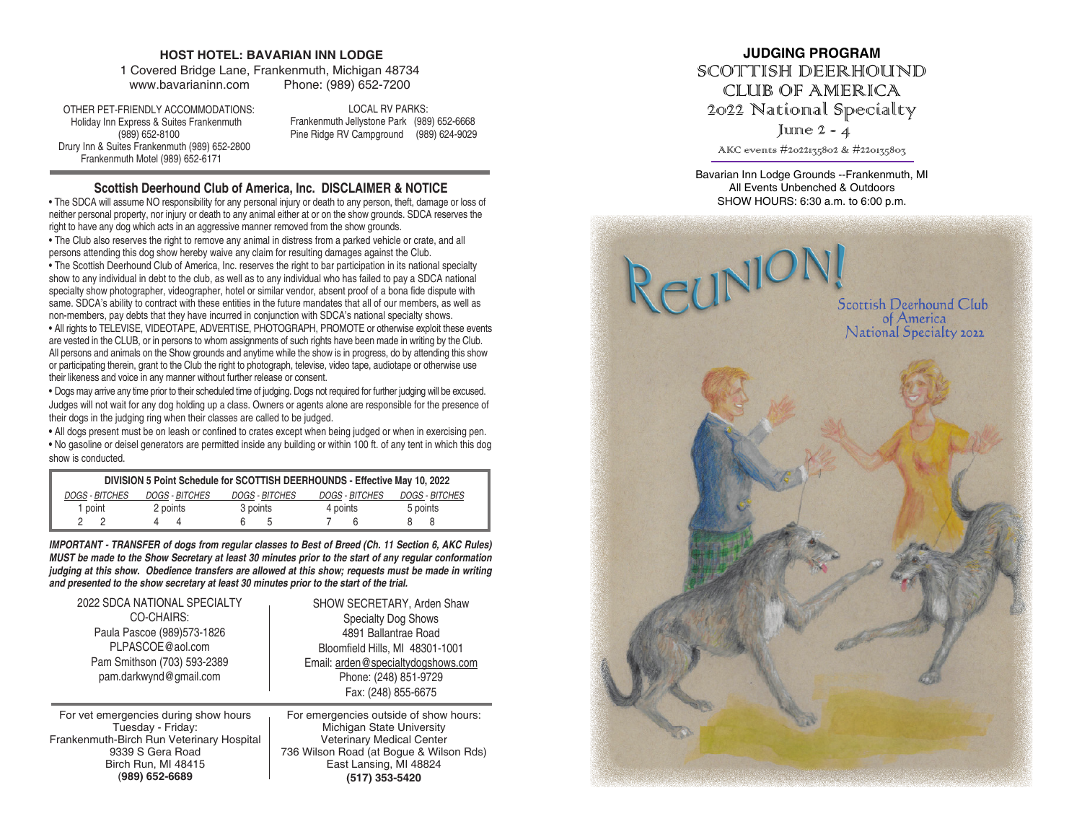#### **HOST HOTEL: BAVARIAN INN LODGE**

1 Covered Bridge Lane, Frankenmuth, Michigan 48734 www.bavarianinn.com Phone: (989) 652-7200

 OTHER PET-FRIENDLY ACCOMMODATIONS: Holiday Inn Express & Suites Frankenmuth (989) 652-8100 Drury Inn & Suites Frankenmuth (989) 652-2800 Frankenmuth Motel (989) 652-6171

LOCAL RV PARKS: Frankenmuth Jellystone Park (989) 652-6668 Pine Ridge RV Campground (989) 624-9029

### **Scottish Deerhound Club of America, Inc. DISCLAIMER & NOTICE**

• The SDCA will assume NO responsibility for any personal injury or death to any person, theft, damage or loss of neither personal property, nor injury or death to any animal either at or on the show grounds. SDCA reserves the right to have any dog which acts in an aggressive manner removed from the show grounds.

• The Club also reserves the right to remove any animal in distress from a parked vehicle or crate, and all persons attending this dog show hereby waive any claim for resulting damages against the Club.

• The Scottish Deerhound Club of America, Inc. reserves the right to bar participation in its national specialty show to any individual in debt to the club, as well as to any individual who has failed to pay a SDCA national specialty show photographer, videographer, hotel or similar vendor, absent proof of a bona fide dispute with same. SDCA's ability to contract with these entities in the future mandates that all of our members, as well as non-members, pay debts that they have incurred in conjunction with SDCA's national specialty shows.

• All rights to TELEVISE, VIDEOTAPE, ADVERTISE, PHOTOGRAPH, PROMOTE or otherwise exploit these events are vested in the CLUB, or in persons to whom assignments of such rights have been made in writing by the Club. All persons and animals on the Show grounds and anytime while the show is in progress, do by attending this show or participating therein, grant to the Club the right to photograph, televise, video tape, audiotape or otherwise use their likeness and voice in any manner without further release or consent.

• Dogs may arrive any time prior to their scheduled time of judging. Dogs not required for further judging will be excused. Judges will not wait for any dog holding up a class. Owners or agents alone are responsible for the presence of their dogs in the judging ring when their classes are called to be judged.

**•** All dogs present must be on leash or confined to crates except when being judged or when in exercising pen. **•** No gasoline or deisel generators are permitted inside any building or within 100 ft. of any tent in which this dog show is conducted.

| DIVISION 5 Point Schedule for SCOTTISH DEERHOUNDS - Effective May 10, 2022 |                       |                       |                       |                       |
|----------------------------------------------------------------------------|-----------------------|-----------------------|-----------------------|-----------------------|
| DOGS - BITCHES                                                             | <b>DOGS - BITCHES</b> | <i>DOGS - BITCHES</i> | <b>DOGS - BITCHES</b> | <i>DOGS - BITCHES</i> |
| 1 point                                                                    | 2 points              | 3 points              | 4 points              | 5 points              |
|                                                                            |                       |                       |                       |                       |

*IMPORTANT - TRANSFER of dogs from regular classes to Best of Breed (Ch. 11 Section 6, AKC Rules) MUST be made to the Show Secretary at least 30 minutes prior to the start of any regular conformation judging at this show. Obedience transfers are allowed at this show; requests must be made in writing and presented to the show secretary at least 30 minutes prior to the start of the trial.*

| 2022 SDCA NATIONAL SPECIALTY            | SHOW SECRETARY, Arden Shaw             |
|-----------------------------------------|----------------------------------------|
| CO-CHAIRS:                              | <b>Specialty Dog Shows</b>             |
| Paula Pascoe (989) 573-1826             | 4891 Ballantrae Road                   |
| PLPASCOE@aol.com                        | Bloomfield Hills, MI 48301-1001        |
| Pam Smithson (703) 593-2389             | Email: arden@specialtydogshows.com     |
| pam.darkwynd@gmail.com                  | Phone: (248) 851-9729                  |
|                                         | Fax: (248) 855-6675                    |
| For vet emergencies during show hours   | For emergencies outside of show hours: |
| Tuesday - Friday:                       | Michigan State University              |
| ankenmuth-Birch Run Veterinary Hospital | <b>Veterinary Medical Center</b>       |

Frankenmuth-Birch Run Veterinary Hospital 9339 S Gera Road Birch Run, MI 48415 (**989) 652-6689**

Veterinary Medical Center 736 Wilson Road (at Bogue & Wilson Rds) East Lansing, MI 48824 **(517) 353-5420**

# **JUDGING PROGRAM** SCOTTISH DEERHOUND CLUB OF AMERICA 2022 National Specialty June  $2 - 4$

AKC events #2022135802 & #220135803

Bavarian Inn Lodge Grounds --Frankenmuth, MI All Events Unbenched & Outdoors SHOW HOURS: 6:30 a.m. to 6:00 p.m.